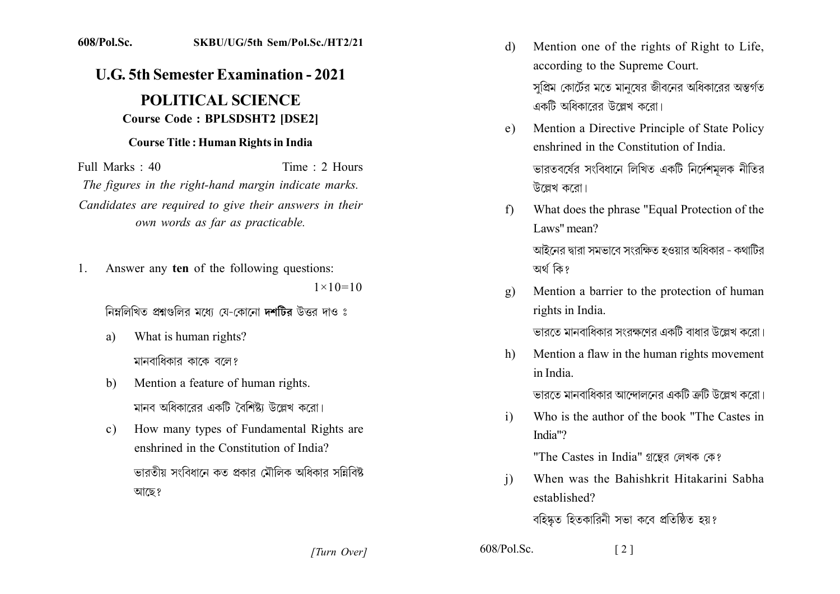## 608/Pol.Sc. SKBU/UG/5th Sem/Pol.Sc./HT2/21

## **U.G. 5th Semester Examination - 2021 POLITICAL SCIENCE Course Code: BPLSDSHT2 [DSE2]**

## **Course Title: Human Rights in India**

Time  $\cdot$  2 Hours Full Marks  $\cdot$  40 The figures in the right-hand margin indicate marks. Candidates are required to give their answers in their own words as far as practicable.

Answer any ten of the following questions: 1.  $1 \times 10 = 10$ 

নিম্নলিখিত প্রশ্নগুলির মধ্যে যে-কোনো দশটির উত্তর দাও ঃ

- What is human rights? a) মানবাধিকার কাকে বলে?
- Mention a feature of human rights. b) মানব অধিকারের একটি বৈশিষ্ট্য উল্লেখ করো।
- How many types of Fundamental Rights are  $\mathbf{c}$ ) enshrined in the Constitution of India?

ভারতীয় সংবিধানে কত প্রকার মৌলিক অধিকার সন্নিবিষ্ট আছে?

- Mention one of the rights of Right to Life, d) according to the Supreme Court. সপ্রিম কোর্টের মতে মানষের জীবনের অধিকারের অন্তর্গত একটি অধিকারের উল্লেখ করো।
- Mention a Directive Principle of State Policy e) enshrined in the Constitution of India ভারতবর্ষের সংবিধানে লিখিত একটি নির্দেশমলক নীতির উল্লেখ করো।
- What does the phrase "Equal Protection of the  $f$ Laws" mean? আইনের দ্বারা সমভাবে সংরক্ষিত হওয়ার অধিকার - কথাটির অৰ্থ কি?
- Mention a barrier to the protection of human  $g)$ rights in India. ভারতে মানবাধিকার সংরক্ষণের একটি বাধার উল্লেখ করো।
- Mention a flaw in the human rights movement h) in India ভারতে মানবাধিকার আন্দোলনের একটি ত্রুটি উল্লেখ করো।
- Who is the author of the book "The Castes in  $i)$ India"?

"The Castes in India" গ্রন্থের লেখক কে?

When was the Bahishkrit Hitakarini Sabha  $\mathbf{i}$ established?

বহিষ্কত হিতকারিনী সভা কবে প্রতিষ্ঠিত হয়?

 $\lceil 2 \rceil$ 

[Turn Over]

 $608/P<sub>o</sub>$  Sc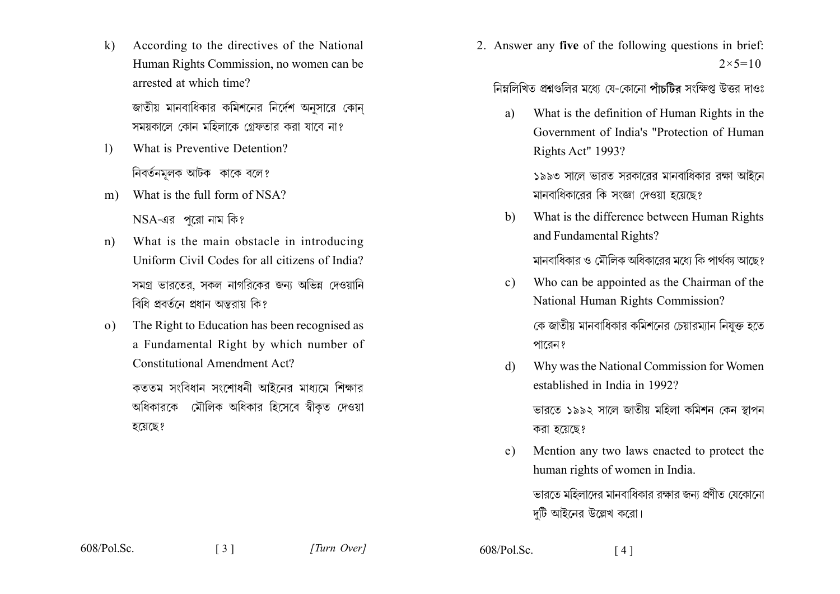$\bf{k}$ ) According to the directives of the National Human Rights Commission, no women can be arrested at which time?

> জাতীয় মানবাধিকার কমিশনের নির্দেশ অনসারে কোন সময়কালে কোন মহিলাকে গ্রেফতার করা যাবে না?

- What is Preventive Detention?  $\left| \right\rangle$ নিবর্তনমূলক আটক কাকে বলে?
- What is the full form of NSA?  $m$ )  $NSA$ -এর পুরো নাম কি?
- What is the main obstacle in introducing  $n)$ Uniform Civil Codes for all citizens of India? সমগ্র ভারতের, সকল নাগরিকের জন্য অভিন্ন দেওয়ানি বিধি প্রবর্তনে প্রধান অন্তরায় কি?
- The Right to Education has been recognised as  $\Omega$ a Fundamental Right by which number of Constitutional Amendment Act?

কততম সংবিধান সংশোধনী আইনের মাধামে শিক্ষার অধিকারকে মৌলিক অধিকার হিসেবে স্বীকৃত দেওয়া হয়েছে?

2. Answer any five of the following questions in brief:  $2 \times 5 = 10$ 

নিম্নলিখিত প্রশ্নগুলির মধ্যে যে-কোনো পাঁচটির সংক্ষিপ্ত উত্তর দাওঃ

What is the definition of Human Rights in the a) Government of India's "Protection of Human Rights Act" 1993?

> ১৯৯৩ সালে ভারত সরকারের মানবাধিকার রক্ষা আইনে মানবাধিকাবের কি সংজ্ঞা দেওয়া হয়েছে?

What is the difference between Human Rights  $b)$ and Fundamental Rights?

মানবাধিকার ও মৌলিক অধিকারের মধ্যে কি পার্থকা আছে?

Who can be appointed as the Chairman of the  $c)$ National Human Rights Commission?

> কে জাতীয় মানবাধিকার কমিশনের চেয়ারম্যান নিযক্ত হতে পারেন?

Why was the National Commission for Women  $\mathbf{d}$ established in India in 1992?

ভারতে ১৯৯২ সালে জাতীয় মহিলা কমিশন কেন স্থাপন করা হয়েছে?

Mention any two laws enacted to protect the e) human rights of women in India.

> ভারতে মহিলাদের মানবাধিকার রক্ষার জন্য প্রণীত যেকোনো দুটি আইনের উল্লেখ করো।

 $608/P<sub>o</sub>$  Sc